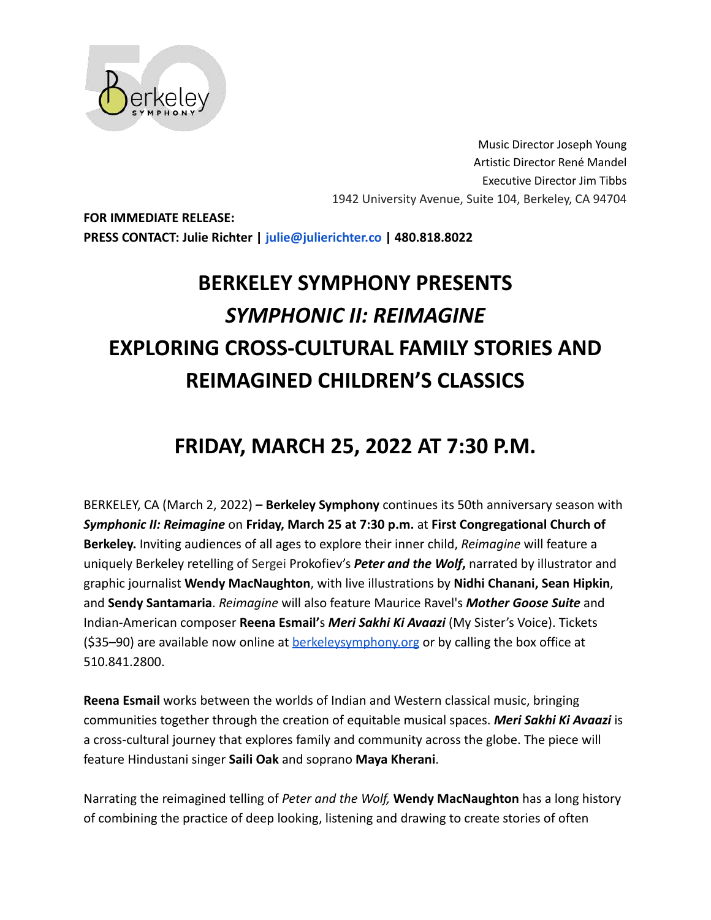

Music Director Joseph Young Artistic Director René Mandel Executive Director Jim Tibbs 1942 University Avenue, Suite 104, Berkeley, CA 94704

**FOR IMMEDIATE RELEASE: PRESS CONTACT: Julie Richter | julie@julierichter.co | 480.818.8022**

# **BERKELEY SYMPHONY PRESENTS** *SYMPHONIC II: REIMAGINE* **EXPLORING CROSS-CULTURAL FAMILY STORIES AND REIMAGINED CHILDREN'S CLASSICS**

# **FRIDAY, MARCH 25, 2022 AT 7:30 P.M.**

BERKELEY, CA (March 2, 2022) **– Berkeley Symphony** continues its 50th anniversary season with *Symphonic II: Reimagine* on **Friday, March 25 at 7:30 p.m.** at **First Congregational Church of Berkeley.** Inviting audiences of all ages to explore their inner child, *Reimagine* will feature a uniquely Berkeley retelling of Sergei Prokofiev's *Peter and the Wolf***,** narrated by illustrator and graphic journalist **Wendy MacNaughton**, with live illustrations by **Nidhi Chanani, Sean Hipkin**, and **Sendy Santamaria**. *Reimagine* will also feature Maurice Ravel's *Mother Goose Suite* and Indian-American composer **Reena Esmail'**s *Meri Sakhi Ki Avaazi* (My Sister's Voice). Tickets (\$35–90) are available now online at [berkeleysymphony.org](http://www.berkeleysymphony.org.) or by calling the box office at 510.841.2800.

**Reena Esmail** works between the worlds of Indian and Western classical music, bringing communities together through the creation of equitable musical spaces. *Meri Sakhi Ki Avaazi* is a cross-cultural journey that explores family and community across the globe. The piece will feature Hindustani singer **Saili Oak** and soprano **Maya Kherani**.

Narrating the reimagined telling of *Peter and the Wolf,* **Wendy MacNaughton** has a long history of combining the practice of deep looking, listening and drawing to create stories of often